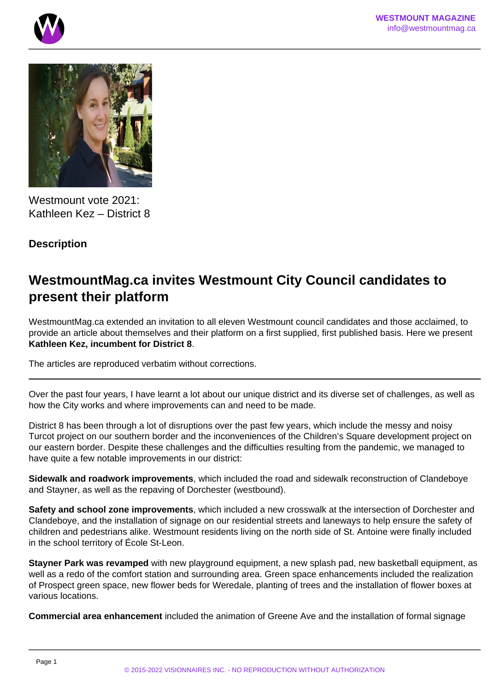



Westmount vote 2021: Kathleen Kez – District 8

## **Description**

# **WestmountMag.ca invites Westmount City Council candidates to present their platform**

WestmountMag.ca extended an invitation to all eleven Westmount council candidates and those acclaimed, to provide an article about themselves and their platform on a first supplied, first published basis. Here we present **Kathleen Kez, incumbent for District 8**.

The articles are reproduced verbatim without corrections.

Over the past four years, I have learnt a lot about our unique district and its diverse set of challenges, as well as how the City works and where improvements can and need to be made.

District 8 has been through a lot of disruptions over the past few years, which include the messy and noisy Turcot project on our southern border and the inconveniences of the Children's Square development project on our eastern border. Despite these challenges and the difficulties resulting from the pandemic, we managed to have quite a few notable improvements in our district:

**Sidewalk and roadwork improvements**, which included the road and sidewalk reconstruction of Clandeboye and Stayner, as well as the repaving of Dorchester (westbound).

**Safety and school zone improvements**, which included a new crosswalk at the intersection of Dorchester and Clandeboye, and the installation of signage on our residential streets and laneways to help ensure the safety of children and pedestrians alike. Westmount residents living on the north side of St. Antoine were finally included in the school territory of École St-Leon.

**Stayner Park was revamped** with new playground equipment, a new splash pad, new basketball equipment, as well as a redo of the comfort station and surrounding area. Green space enhancements included the realization of Prospect green space, new flower beds for Weredale, planting of trees and the installation of flower boxes at various locations.

**Commercial area enhancement** included the animation of Greene Ave and the installation of formal signage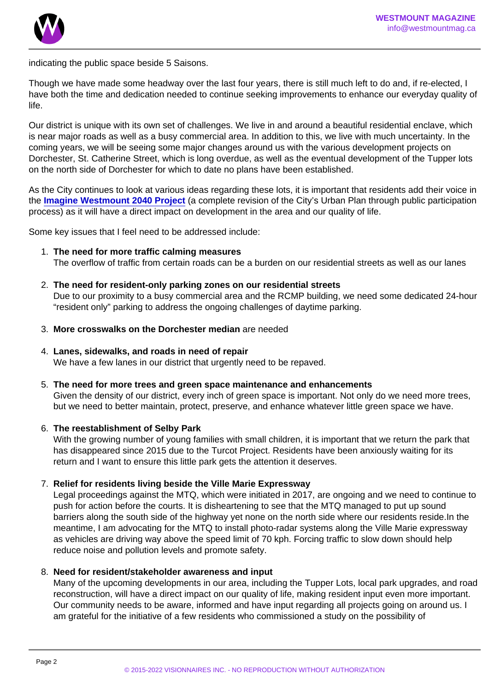indicating the public space beside 5 Saisons.

Though we have made some headway over the last four years, there is still much left to do and, if re-elected, I have both the time and dedication needed to continue seeking improvements to enhance our everyday quality of life.

Our district is unique with its own set of challenges. We live in and around a beautiful residential enclave, which is near major roads as well as a busy commercial area. In addition to this, we live with much uncertainty. In the coming years, we will be seeing some major changes around us with the various development projects on Dorchester, St. Catherine Street, which is long overdue, as well as the eventual development of the Tupper lots on the north side of Dorchester for which to date no plans have been established.

As the City continues to look at various ideas regarding these lots, it is important that residents add their voice in the [Imagine Westmount 2040 Project](https://engage.westmount.org/en/project/imagine-westmount-2040) (a complete revision of the City's Urban Plan through public participation process) as it will have a direct impact on development in the area and our quality of life.

Some key issues that I feel need to be addressed include:

- 1. The need for more traffic calming measures The overflow of traffic from certain roads can be a burden on our residential streets as well as our lanes
- 2. The need for resident-only parking zones on our residential streets Due to our proximity to a busy commercial area and the RCMP building, we need some dedicated 24-hour "resident only" parking to address the ongoing challenges of daytime parking.
- 3. More crosswalks on the Dorchester median are needed
- 4. Lanes, sidewalks, and roads in need of repair We have a few lanes in our district that urgently need to be repaved.
- 5. The need for more trees and green space maintenance and enhancements Given the density of our district, every inch of green space is important. Not only do we need more trees, but we need to better maintain, protect, preserve, and enhance whatever little green space we have.
- 6. The reestablishment of Selby Park With the growing number of young families with small children, it is important that we return the park that has disappeared since 2015 due to the Turcot Project. Residents have been anxiously waiting for its return and I want to ensure this little park gets the attention it deserves.
- 7. Relief for residents living beside the Ville Marie Expressway Legal proceedings against the MTQ, which were initiated in 2017, are ongoing and we need to continue to push for action before the courts. It is disheartening to see that the MTQ managed to put up sound barriers along the south side of the highway yet none on the north side where our residents reside.In the meantime, I am advocating for the MTQ to install photo-radar systems along the Ville Marie expressway as vehicles are driving way above the speed limit of 70 kph. Forcing traffic to slow down should help reduce noise and pollution levels and promote safety.
- 8. Need for resident/stakeholder awareness and input Many of the upcoming developments in our area, including the Tupper Lots, local park upgrades, and road reconstruction, will have a direct impact on our quality of life, making resident input even more important. Our community needs to be aware, informed and have input regarding all projects going on around us. I am grateful for the initiative of a few residents who commissioned a study on the possibility of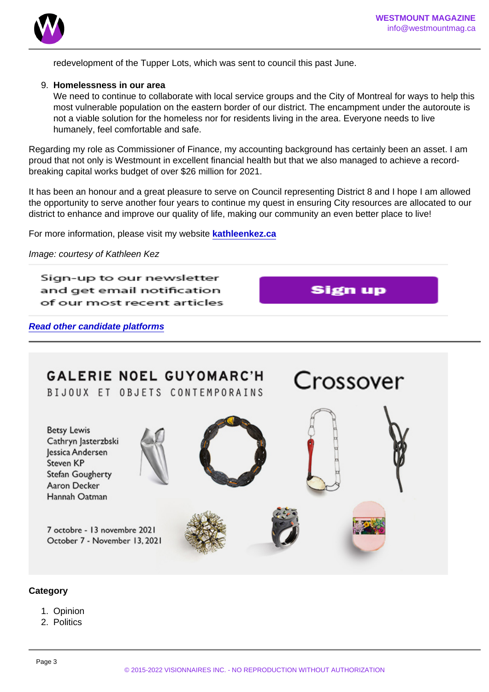redevelopment of the Tupper Lots, which was sent to council this past June.

9. Homelessness in our area

We need to continue to collaborate with local service groups and the City of Montreal for ways to help this most vulnerable population on the eastern border of our district. The encampment under the autoroute is not a viable solution for the homeless nor for residents living in the area. Everyone needs to live humanely, feel comfortable and safe.

Regarding my role as Commissioner of Finance, my accounting background has certainly been an asset. I am proud that not only is Westmount in excellent financial health but that we also managed to achieve a recordbreaking capital works budget of over \$26 million for 2021.

It has been an honour and a great pleasure to serve on Council representing District 8 and I hope I am allowed the opportunity to serve another four years to continue my quest in ensuring City resources are allocated to our district to enhance and improve our quality of life, making our community an even better place to live!

For more information, please visit my website [kathleenkez.ca](http://www.kathleenkez.ca)

Image: courtesy of Kathleen Kez

Read other candidate platforms

**Category** 

- 1. Opinion
- 2. Politics